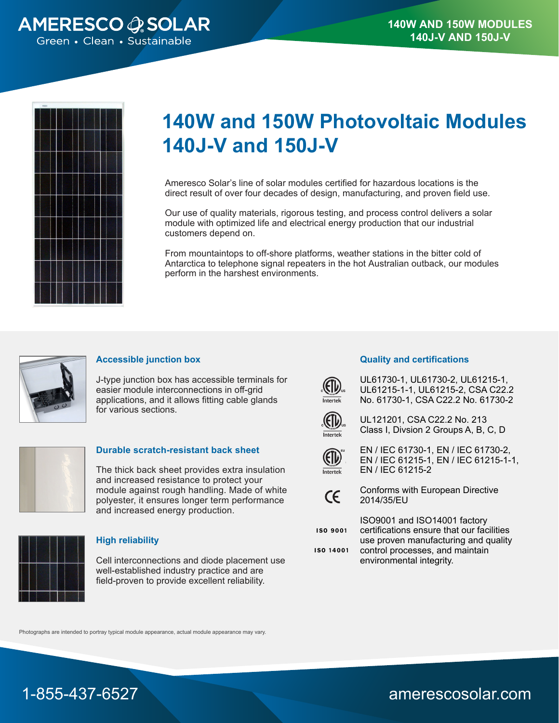



# **140W and 150W Photovoltaic Modules 140J-V and 150J-V**

Ameresco Solar's line of solar modules certified for hazardous locations is the direct result of over four decades of design, manufacturing, and proven field use.

Our use of quality materials, rigorous testing, and process control delivers a solar module with optimized life and electrical energy production that our industrial customers depend on.

From mountaintops to off-shore platforms, weather stations in the bitter cold of Antarctica to telephone signal repeaters in the hot Australian outback, our modules perform in the harshest environments.



#### **Accessible junction box**

J-type junction box has accessible terminals for easier module interconnections in off-grid applications, and it allows fitting cable glands for various sections.



#### **Durable scratch-resistant back sheet**

The thick back sheet provides extra insulation and increased resistance to protect your module against rough handling. Made of white polyester, it ensures longer term performance and increased energy production.



#### **High reliability**

Cell interconnections and diode placement use well-established industry practice and are field-proven to provide excellent reliability.

#### **Quality and certifications**



UL61730-1, UL61730-2, UL61215-1, UL61215-1-1, UL61215-2, CSA C22.2 No. 61730-1, CSA C22.2 No. 61730-2



UL121201, CSA C22.2 No. 213 Class I, Divsion 2 Groups A, B, C, D



EN / IEC 61730-1, EN / IEC 61730-2, EN / IEC 61215-1, EN / IEC 61215-1-1, EN / IEC 61215-2



Conforms with European Directive 2014/35/EU

**ISO 9001** 

**ISO 14001** 

ISO9001 and ISO14001 factory certifications ensure that our facilities use proven manufacturing and quality control processes, and maintain

environmental integrity.

Photographs are intended to portray typical module appearance, actual module appearance may vary.